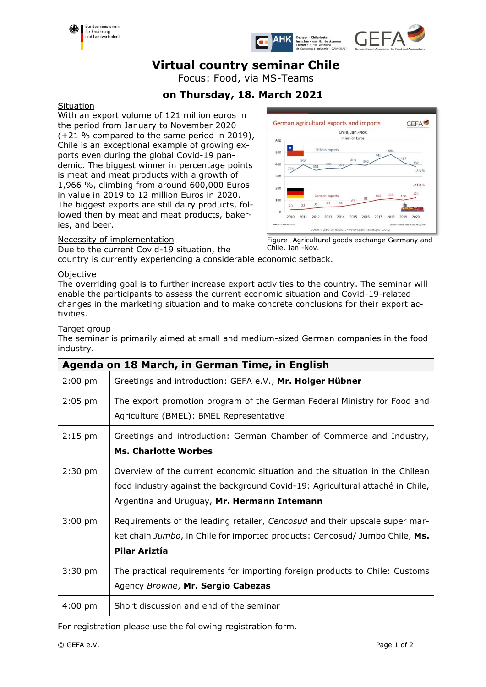





# **Virtual country seminar Chile**

Focus: Food, via MS-Teams

# **on Thursday, 18. March 2021**

### **Situation**

With an export volume of 121 million euros in the period from January to November 2020 (+21 % compared to the same period in 2019), Chile is an exceptional example of growing exports even during the global Covid-19 pandemic. The biggest winner in percentage points is meat and meat products with a growth of 1,966 %, climbing from around 600,000 Euros in value in 2019 to 12 million Euros in 2020. The biggest exports are still dairy products, followed then by meat and meat products, bakeries, and beer.

### Necessity of implementation

Due to the current Covid-19 situation, the country is currently experiencing a considerable economic setback. Chile, Jan.-Nov.

#### German agricultural exports and imports **GEFA** Chile, Jan.-Nov. in million Euros 600 500  $400$  $-8.5%$  $300$  $+21.0%$  $200$ 121  $103$  $100$ 100 43  $\ddot{0}$ 2010 2011 2012 2013 2014 2015 2016 2017 2018 2019 2020

Figure: Agricultural goods exchange Germany and

## **Objective**

The overriding goal is to further increase export activities to the country. The seminar will enable the participants to assess the current economic situation and Covid-19-related changes in the marketing situation and to make concrete conclusions for their export activities.

#### Target group

The seminar is primarily aimed at small and medium-sized German companies in the food industry.

| Agenda on 18 March, in German Time, in English |                                                                                                                                                                                                             |  |  |
|------------------------------------------------|-------------------------------------------------------------------------------------------------------------------------------------------------------------------------------------------------------------|--|--|
| $2:00$ pm                                      | Greetings and introduction: GEFA e.V., Mr. Holger Hübner                                                                                                                                                    |  |  |
| $2:05$ pm                                      | The export promotion program of the German Federal Ministry for Food and<br>Agriculture (BMEL): BMEL Representative                                                                                         |  |  |
| $2:15$ pm                                      | Greetings and introduction: German Chamber of Commerce and Industry,<br><b>Ms. Charlotte Worbes</b>                                                                                                         |  |  |
| $2:30$ pm                                      | Overview of the current economic situation and the situation in the Chilean<br>food industry against the background Covid-19: Agricultural attaché in Chile,<br>Argentina and Uruguay, Mr. Hermann Intemann |  |  |
| $3:00$ pm                                      | Requirements of the leading retailer, Cencosud and their upscale super mar-<br>ket chain Jumbo, in Chile for imported products: Cencosud/ Jumbo Chile, Ms.<br>Pilar Ariztía                                 |  |  |
| $3:30$ pm                                      | The practical requirements for importing foreign products to Chile: Customs<br>Agency Browne, Mr. Sergio Cabezas                                                                                            |  |  |
| $4:00 \text{ pm}$                              | Short discussion and end of the seminar                                                                                                                                                                     |  |  |

For registration please use the following registration form.